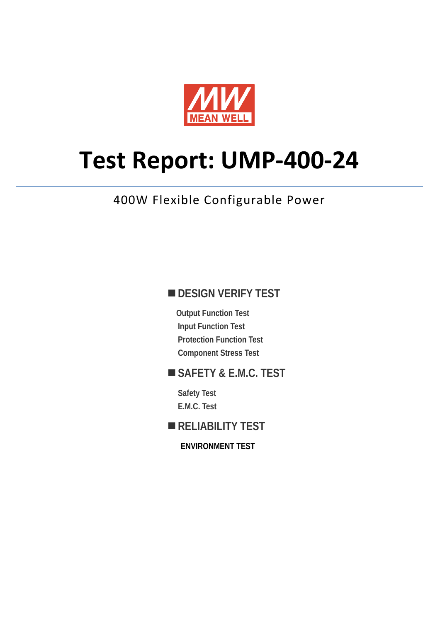

# **Test Report: UMP-400-24**

# 400W Flexible Configurable Power

### **DESIGN VERIFY TEST**

**Output Function Test Input Function Test Protection Function Test Component Stress Test** 

### **SAFETY & E.M.C. TEST**

**Safety Test E.M.C. Test** 

**RELIABILITY TEST** 

**ENVIRONMENT TEST**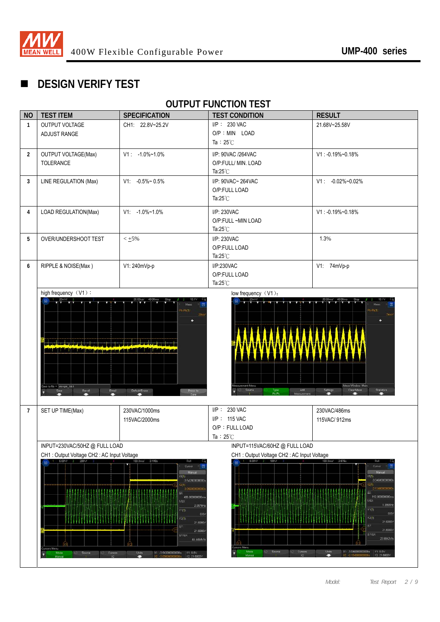

# **DESIGN VERIFY TEST**

#### **OUTPUT FUNCTION TEST**

| <b>NO</b>      | <b>TEST ITEM</b>                                                                                    | <b>SPECIFICATION</b>                                       | <b>TEST CONDITION</b>                              | <b>RESULT</b>                                                    |
|----------------|-----------------------------------------------------------------------------------------------------|------------------------------------------------------------|----------------------------------------------------|------------------------------------------------------------------|
| $\mathbf{1}$   | OUTPUT VOLTAGE                                                                                      | CH1: 22.8V~25.2V                                           | I/P: 230 VAC                                       | 21.68V~25.58V                                                    |
|                | <b>ADJUST RANGE</b>                                                                                 |                                                            | O/P : MIN LOAD                                     |                                                                  |
|                |                                                                                                     |                                                            | Ta: $25^{\circ}$ C                                 |                                                                  |
| $\overline{2}$ | <b>OUTPUT VOLTAGE(Max)</b>                                                                          | $V1: -1.0\% \sim 1.0\%$                                    | I/P: 90VAC /264VAC                                 | $V1: -0.19\% - 0.18\%$                                           |
|                | TOLERANCE                                                                                           |                                                            | O/P:FULL/ MIN. LOAD                                |                                                                  |
|                |                                                                                                     |                                                            | Ta: $25^{\circ}$ C                                 |                                                                  |
| 3              | LINE REGULATION (Max)                                                                               | $V1: -0.5\% \sim 0.5\%$                                    | I/P: 90VAC~ 264VAC                                 | $V1: -0.02\% \sim 0.02\%$                                        |
|                |                                                                                                     |                                                            | O/P:FULL LOAD                                      |                                                                  |
|                |                                                                                                     |                                                            | Ta: $25^{\circ}$ C                                 |                                                                  |
| 4              | LOAD REGULATION(Max)                                                                                | $V1: -1.0\% \sim 1.0\%$                                    | I/P: 230VAC                                        | $V1: -0.19\% -0.18\%$                                            |
|                |                                                                                                     |                                                            | O/P:FULL ~MIN LOAD                                 |                                                                  |
|                |                                                                                                     |                                                            | Ta: $25^{\circ}$ C                                 |                                                                  |
| 5              | OVER/UNDERSHOOT TEST                                                                                | $< \pm 5\%$                                                | I/P: 230VAC                                        | 1.3%                                                             |
|                |                                                                                                     |                                                            | O/P:FULL LOAD                                      |                                                                  |
|                |                                                                                                     |                                                            | Ta: $25^{\circ}$ C                                 |                                                                  |
| 6              | RIPPLE & NOISE(Max)                                                                                 | V1: 240mVp-p                                               | I/P:230VAC                                         | V1: 74mVp-p                                                      |
|                |                                                                                                     |                                                            | O/P:FULL LOAD                                      |                                                                  |
|                |                                                                                                     |                                                            | Ta: $25^{\circ}$ C                                 |                                                                  |
|                | high frequency (V1):<br>ra i Li                                                                     |                                                            | low frequency (V1):                                |                                                                  |
|                |                                                                                                     | Meas                                                       |                                                    |                                                                  |
|                |                                                                                                     | $k$ - $Pk(1)$                                              |                                                    | $P_{k}$ $P_{k}(1)$                                               |
|                |                                                                                                     |                                                            |                                                    |                                                                  |
|                |                                                                                                     |                                                            |                                                    |                                                                  |
|                | in bibliothean an 1780 an 1871.<br>Bailtean 1872 an 1872 an 1872.                                   |                                                            |                                                    |                                                                  |
|                | سبع هدا بر انقات أ الثالا الثالا لا التالا للا يتم نسخه معرف نعام انقات الشائل الثالا الثالا الثالا |                                                            |                                                    |                                                                  |
|                |                                                                                                     |                                                            |                                                    |                                                                  |
|                |                                                                                                     |                                                            |                                                    |                                                                  |
|                |                                                                                                     |                                                            |                                                    |                                                                  |
|                | Save to file = $\sqrt{3}$ acope_114<br>Recall<br>Email<br>Save                                      | Press to<br>Default/Erase                                  | easurement Menu<br>Source<br>Type:<br>Pk-Pk<br>Add | Meas Window, Main<br>Clear Mean<br><b>Statistics</b><br>Settings |
|                |                                                                                                     |                                                            |                                                    | −                                                                |
| $\overline{7}$ | SET UP TIME(Max)                                                                                    | 230VAC/1000ms                                              | I/P: 230 VAC                                       | 230VAC/486ms                                                     |
|                |                                                                                                     | 115VAC/2000ms                                              | I/P: 115 VAC                                       | 115VAC/912ms                                                     |
|                |                                                                                                     |                                                            | O/P: FULL LOAD                                     |                                                                  |
|                |                                                                                                     |                                                            | Ta: $25^{\circ}$ C                                 |                                                                  |
|                | INPUT=230VAC/50HZ @ FULL LOAD                                                                       |                                                            | INPUT=115VAC/60HZ @ FULL LOAD                      |                                                                  |
|                | CH1: Output Voltage CH2: AC Input Voltage                                                           |                                                            | CH1: Output Voltage CH2: AC Input Voltage          |                                                                  |
|                | $1 - 5.00V/$<br>200V                                                                                | 100.0ms/ 3.198s<br>Roll<br>Cursor                          | 5.00V/                                             | $-2.5766$<br>Curson                                              |
|                |                                                                                                     | Mar<br>X1(1)                                               |                                                    | X1(1)                                                            |
|                |                                                                                                     | -3.542000000003<br>211                                     |                                                    | 3.04600000000<br>QID                                             |
|                | <b>LESS ALLES LALLES ANALES AN</b>                                                                  | 3.056000000000<br>AX                                       | ***************                                    | 2.1340000000<br>AX.<br>912.000000000m                            |
|                |                                                                                                     | 486.000000000m<br>$1/\Delta$ X<br>2.0576Hz                 |                                                    | 1/4%<br>1.0965H                                                  |
|                |                                                                                                     | Y1(1):<br>0.0%                                             |                                                    | YI(I):<br>0.0                                                    |
|                |                                                                                                     | Y2(1)<br>21.6000V                                          |                                                    | Y2(1)<br>21,6000V                                                |
|                |                                                                                                     | AY.<br>21.6000V                                            |                                                    | AY.<br>21,6000V<br>ш                                             |
|                |                                                                                                     | <b>AY/AX:</b><br>44.4444V/s                                |                                                    | <b>AY/AX:</b><br>23.6842V/s                                      |
|                | ursors Menu                                                                                         |                                                            | rsors Menu<br>Mode<br>Source<br>Cursors            | Units<br>X1: -3.0460000000008<br>Y1:0.0V                         |
|                | Source<br>Mode<br>Cursors<br>n                                                                      | Units<br>X1: 3.542000000000s<br>Y1:00V<br>Ξ<br>Y2: 21.6000 | Manua                                              | ۰<br>Y2: 21.6000\                                                |
|                |                                                                                                     |                                                            |                                                    |                                                                  |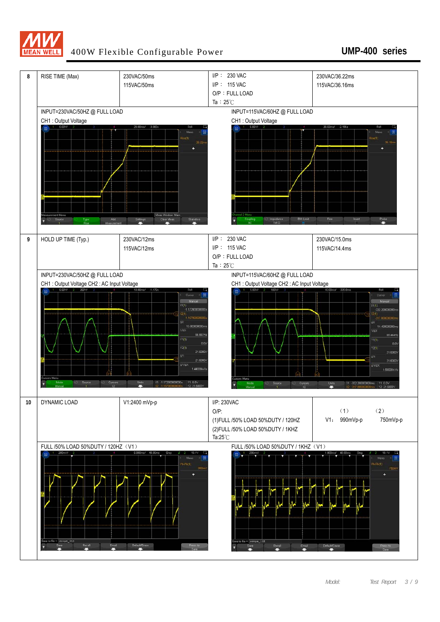

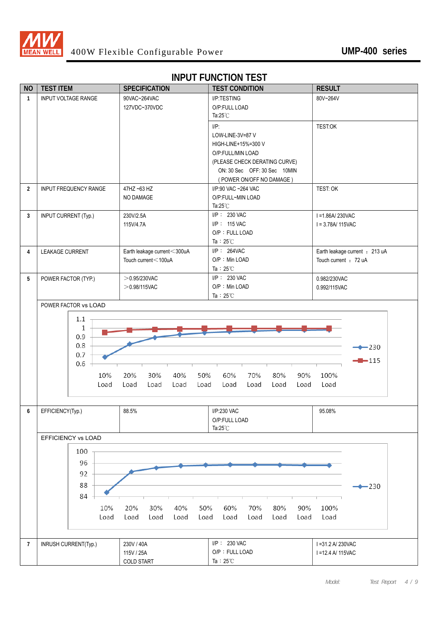

# **INPUT FUNCTION TEST**

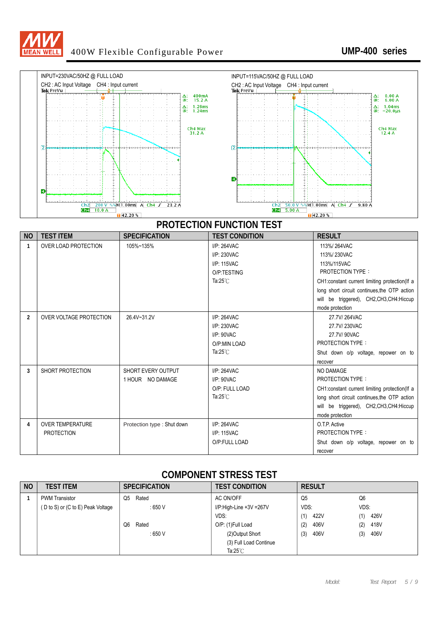



| <b>NO</b>      | <b>TEST ITEM</b>                             | <b>SPECIFICATION</b>                   | <b>TEST CONDITION</b>                                                                | <b>RESULT</b>                                                                                                                                                                                                               |
|----------------|----------------------------------------------|----------------------------------------|--------------------------------------------------------------------------------------|-----------------------------------------------------------------------------------------------------------------------------------------------------------------------------------------------------------------------------|
| 1              | <b>OVER LOAD PROTECTION</b>                  | 105%~135%                              | $I/P: 264$ VAC<br>I/P: 230VAC<br>I/P: 115VAC<br>O/P:TESTING<br>Ta: $25^{\circ}$ C    | 113%/264VAC<br>113%/230VAC<br>113%/115VAC<br>PROTECTION TYPE:<br>CH1:constant current limiting protection(If a<br>long short circuit continues, the OTP action<br>will be triggered), CH2,CH3,CH4:Hiccup<br>mode protection |
| $\overline{2}$ | OVER VOLTAGE PROTECTION                      | 26.4V~31.2V                            | I/P: 264VAC<br>I/P: 230VAC<br>$I/P$ : $90$ VAC<br>O/P:MIN LOAD<br>Ta: $25^{\circ}$ C | 27.7V/264VAC<br>27.7V/230VAC<br>27.7V/90VAC<br><b>PROTECTION TYPE:</b><br>Shut down o/p voltage, repower on to<br>recover                                                                                                   |
| 3              | SHORT PROTECTION                             | SHORT EVERY OUTPUT<br>1 HOUR NO DAMAGE | I/P: 264VAC<br>$I/P$ : 90VAC<br>O/P: FULL LOAD<br>Ta: $25^{\circ}$ C                 | NO DAMAGE<br><b>PROTECTION TYPE:</b><br>CH1:constant current limiting protection(If a<br>long short circuit continues, the OTP action<br>will be triggered), CH2,CH3,CH4:Hiccup<br>mode protection                          |
| 4              | <b>OVER TEMPERATURE</b><br><b>PROTECTION</b> | Protection type : Shut down            | $I/P: 264$ VAC<br>I/P: 115VAC<br>O/P:FULL LOAD                                       | O.T.P. Active<br><b>PROTECTION TYPE:</b><br>Shut down o/p voltage, repower on to<br>recover                                                                                                                                 |

#### **COMPONENT STRESS TEST**

| <b>NO</b> | <b>TEST ITEM</b>                  | <b>SPECIFICATION</b> | <b>TEST CONDITION</b>   | <b>RESULT</b> |             |
|-----------|-----------------------------------|----------------------|-------------------------|---------------|-------------|
|           | <b>PWM Transistor</b>             | Rated<br>Q5          | AC ON/OFF               | Q5            | Q6          |
|           | (D to S) or (C to E) Peak Voltage | : 650 V              | I/P:High-Line +3V =267V | VDS:          | VDS:        |
|           |                                   |                      | VDS:                    | 422V<br>(1)   | 426V<br>(1) |
|           |                                   | Q6<br>Rated          | O/P: (1)Full Load       | 406V<br>(2)   | 418V<br>(2) |
|           |                                   | : 650 V              | (2) Output Short        | 406V<br>(3)   | 406V<br>(3) |
|           |                                   |                      | (3) Full Load Continue  |               |             |
|           |                                   |                      | Ta:25 $°C$              |               |             |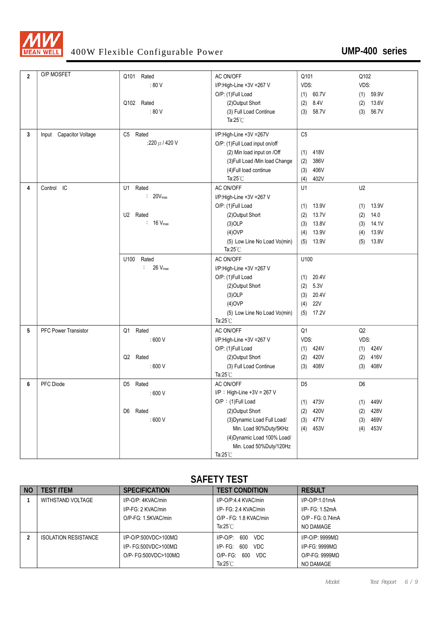

| $\overline{2}$ | O/P MOSFET                  | Rated<br>Q101                         | AC ON/OFF                      | Q101              | Q102           |
|----------------|-----------------------------|---------------------------------------|--------------------------------|-------------------|----------------|
|                |                             | :80V                                  | I/P:High-Line +3V =267 V       | VDS:              | VDS:           |
|                |                             |                                       | O/P: (1)Full Load              | (1)<br>60.7V      | $(1)$ 59.9V    |
|                |                             | Q102 Rated                            | (2) Output Short               | 8.4V<br>(2)       | 13.6V<br>(2)   |
|                |                             | : 80 V                                | (3) Full Load Continue         | (3)<br>58.7V      | 56.7V<br>(3)   |
|                |                             |                                       | Ta: $25^{\circ}$ C             |                   |                |
| 3              | Input Capacitor Voltage     | C5<br>Rated                           | I/P:High-Line +3V =267V        | C <sub>5</sub>    |                |
|                |                             | :220 $\mu$ / 420 V                    | O/P: (1)Full Load input on/off |                   |                |
|                |                             |                                       | (2) Min load input on /Off     | 418V<br>(1)       |                |
|                |                             |                                       | (3) Full Load /Min load Change | 386V<br>(2)       |                |
|                |                             |                                       | (4) Full load continue         | 406V<br>(3)       |                |
|                |                             |                                       | Ta: $25^{\circ}$ C             | 402V<br>(4)       |                |
| 4              | Control IC                  | U1 Rated                              | AC ON/OFF                      | U1                | U <sub>2</sub> |
|                |                             | $: 20V_{max}$                         | I/P:High-Line +3V =267 V       |                   |                |
|                |                             |                                       | O/P: (1)Full Load              | 13.9V<br>(1)      | 13.9V<br>(1)   |
|                |                             | U2 Rated                              | (2) Output Short               | 13.7V<br>(2)      | 14.0<br>(2)    |
|                |                             | $: 16 V_{max}$                        | $(3)$ OLP                      | 13.8V<br>(3)      | 14.1V<br>(3)   |
|                |                             |                                       | $(4)$ OVP                      | 13.9V<br>(4)      | 13.9V<br>(4)   |
|                |                             |                                       | (5) Low Line No Load Vo(min)   | $(5)$ 13.9V       | 13.8V<br>(5)   |
|                |                             |                                       | Ta: $25^{\circ}$ C             |                   |                |
|                |                             | Rated<br>U100                         | AC ON/OFF                      | U100              |                |
|                |                             | 26 V <sub>max</sub><br>$\ddot{\cdot}$ | I/P:High-Line +3V =267 V       |                   |                |
|                |                             |                                       | O/P: (1)Full Load              | 20.4V<br>(1)      |                |
|                |                             |                                       | (2) Output Short               | 5.3V<br>(2)       |                |
|                |                             |                                       | $(3)$ OLP                      | 20.4V<br>(3)      |                |
|                |                             |                                       | $(4)$ OVP                      | <b>22V</b><br>(4) |                |
|                |                             |                                       | (5) Low Line No Load Vo(min)   | 17.2V<br>(5)      |                |
|                |                             |                                       | Ta: $25^{\circ}$ C             |                   |                |
| 5              | <b>PFC Power Transistor</b> | Q1 Rated                              | AC ON/OFF                      | Q <sub>1</sub>    | Q2             |
|                |                             | :600V                                 | I/P:High-Line +3V =267 V       | VDS:              | VDS:           |
|                |                             |                                       | O/P: (1)Full Load              | 424V<br>(1)       | 424V<br>(1)    |
|                |                             | Rated<br>Q2                           | (2) Output Short               | 420V<br>(2)       | 416V<br>(2)    |
|                |                             | :600V                                 | (3) Full Load Continue         | 408V<br>(3)       | 408V<br>(3)    |
|                |                             |                                       | Ta: $25^{\circ}$ C             |                   |                |
| 6              | PFC Diode                   | D5 Rated                              | AC ON/OFF                      | D <sub>5</sub>    | D <sub>6</sub> |
|                |                             | :600V                                 | $I/P$ : High-Line +3V = 267 V  |                   |                |
|                |                             |                                       | O/P: (1)Full Load              | 473V<br>(1)       | 449V<br>(1)    |
|                |                             | D6 Rated                              | (2)Output Short                | 420V<br>(2)       | 428V<br>(2)    |
|                |                             | :600V                                 | (3) Dynamic Load Full Load/    | 477V<br>(3)       | 469V<br>(3)    |
|                |                             |                                       | Min. Load 90%Duty/5KHz         | 453V<br>(4)       | 453V<br>(4)    |
|                |                             |                                       | (4) Dynamic Load 100% Load/    |                   |                |
|                |                             |                                       | Min. Load 50%Duty/120Hz        |                   |                |
|                |                             |                                       | Ta: $25^{\circ}$ C             |                   |                |

#### **SAFETY TEST**

| <b>NO</b> | <b>TFST ITFM</b>            | <b>SPECIFICATION</b>    | <b>TEST CONDITION</b>           | <b>RESULT</b>      |
|-----------|-----------------------------|-------------------------|---------------------------------|--------------------|
|           | WITHSTAND VOLTAGE           | I/P-O/P: 4KVAC/min      | I/P-O/P:4.4 KVAC/min            | $I/P$ -O/P:1.01mA  |
|           |                             | I/P-FG: 2 KVAC/min      | I/P- FG: 2.4 KVAC/min           | I/P- FG: 1.52mA    |
|           |                             | O/P-FG: 1.5KVAC/min     | O/P - FG: 1.8 KVAC/min          | O/P - FG: 0.74mA   |
|           |                             |                         | Ta:25 $°C$                      | NO DAMAGE          |
|           | <b>ISOLATION RESISTANCE</b> | $I/P$ -O/P:500VDC>100MQ | 600<br><b>VDC</b><br>I/P-O/P:   | $I/P$ -O/P: 9999MQ |
|           |                             | I/P- FG:500VDC>100MQ    | 600<br><b>VDC</b><br>$I/P-FG$ : | $I/P-FG: 9999MQ$   |
|           |                             | $O/P$ - FG:500VDC>100MQ | 600<br>$O/P-FG$ :<br>VDC.       | $O/P-FG: 9999MO$   |
|           |                             |                         | Ta: $25^{\circ}$ C              | NO DAMAGE          |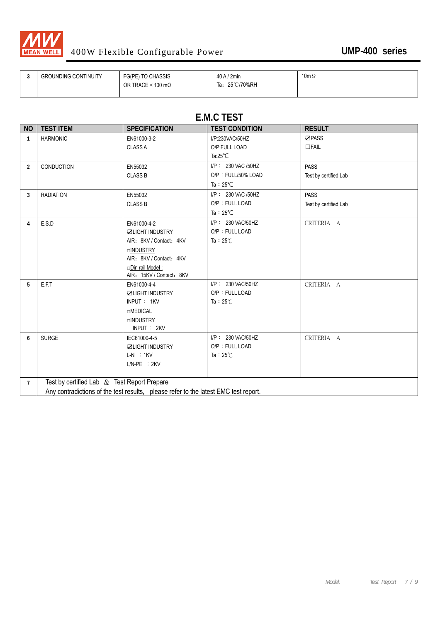

| <b>UMP-400 series</b> |  |
|-----------------------|--|
|-----------------------|--|

| <b>GROUNDING CONTINUITY</b> | FG(PE) TO CHASSIS         | $40$ A / $2$ min | 10m $\Omega$ |
|-----------------------------|---------------------------|------------------|--------------|
|                             | OR TRACE < 100 m $\Omega$ | 25℃/70%RH<br>Ta: |              |
|                             |                           |                  |              |

#### **E.M.C TEST**

| <b>NO</b>      | <b>TEST ITEM</b>                              | <b>SPECIFICATION</b>                                                                | <b>TEST CONDITION</b> | <b>RESULT</b>         |
|----------------|-----------------------------------------------|-------------------------------------------------------------------------------------|-----------------------|-----------------------|
| $\mathbf{1}$   | <b>HARMONIC</b>                               | EN61000-3-2                                                                         | I/P:230VAC/50HZ       | <b>ZPASS</b>          |
|                |                                               | <b>CLASS A</b>                                                                      | O/P:FULL LOAD         | $\Box$ FAIL           |
|                |                                               |                                                                                     | Ta: $25^{\circ}$ C    |                       |
| $\overline{2}$ | <b>CONDUCTION</b>                             | EN55032                                                                             | I/P: 230 VAC /50HZ    | <b>PASS</b>           |
|                |                                               | <b>CLASS B</b>                                                                      | O/P: FULL/50% LOAD    | Test by certified Lab |
|                |                                               |                                                                                     | Ta: $25^{\circ}$ C    |                       |
| $\overline{3}$ | <b>RADIATION</b>                              | EN55032                                                                             | I/P: 230 VAC /50HZ    | <b>PASS</b>           |
|                |                                               | <b>CLASS B</b>                                                                      | O/P: FULL LOAD        | Test by certified Lab |
|                |                                               |                                                                                     | Ta: $25^{\circ}$ C    |                       |
| 4              | E.S.D                                         | EN61000-4-2                                                                         | I/P: 230 VAC/50HZ     | CRITERIA A            |
|                |                                               | <b>ZLIGHT INDUSTRY</b>                                                              | O/P: FULL LOAD        |                       |
|                |                                               | AIR: 8KV / Contact: 4KV                                                             | Ta: $25^\circ$ C      |                       |
|                |                                               | <b>UINDUSTRY</b>                                                                    |                       |                       |
|                |                                               | AIR: 8KV / Contact: 4KV                                                             |                       |                       |
|                |                                               | Din rail Model:                                                                     |                       |                       |
|                |                                               | AIR: 15KV / Contact: 8KV                                                            |                       |                       |
| 5              | E.F.T                                         | EN61000-4-4                                                                         | I/P: 230 VAC/50HZ     | CRITERIA A            |
|                |                                               | <b>ZLIGHT INDUSTRY</b>                                                              | O/P: FULL LOAD        |                       |
|                |                                               | INPUT: 1KV                                                                          | Ta: $25^\circ$ C      |                       |
|                |                                               | <b>OMEDICAL</b>                                                                     |                       |                       |
|                |                                               | <b>UINDUSTRY</b>                                                                    |                       |                       |
| 6              | <b>SURGE</b>                                  | INPUT: 2KV<br>IEC61000-4-5                                                          | I/P: 230 VAC/50HZ     | CRITERIA A            |
|                |                                               | <b>ZLIGHT INDUSTRY</b>                                                              | O/P: FULL LOAD        |                       |
|                |                                               | $L-N$ : 1KV                                                                         | Ta: $25^\circ$ C      |                       |
|                |                                               | $L/N-PE$ : $2KV$                                                                    |                       |                       |
|                |                                               |                                                                                     |                       |                       |
| $\overline{7}$ | Test by certified Lab $&$ Test Report Prepare |                                                                                     |                       |                       |
|                |                                               | Any contradictions of the test results, please refer to the latest EMC test report. |                       |                       |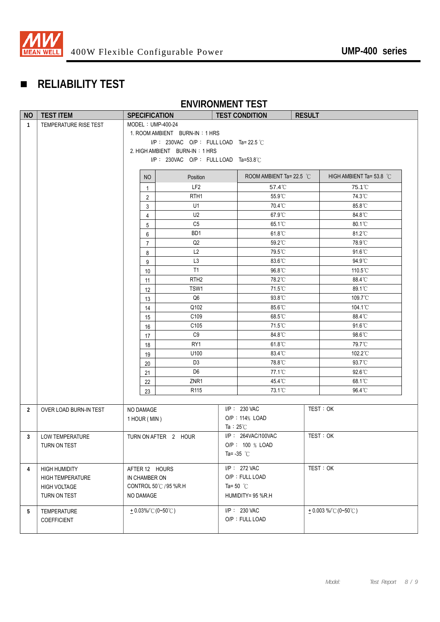

# **RELIABILITY TEST**

#### **ENVIRONMENT TEST**

| <b>NO</b>      | <b>TEST ITEM</b>        | <b>SPECIFICATION</b> |                                        |                     | <b>TEST CONDITION</b>    | <b>RESULT</b> |                          |  |
|----------------|-------------------------|----------------------|----------------------------------------|---------------------|--------------------------|---------------|--------------------------|--|
| $\mathbf{1}$   | TEMPERATURE RISE TEST   | MODEL: UMP-400-24    |                                        |                     |                          |               |                          |  |
|                |                         |                      | 1. ROOM AMBIENT BURN-IN: 1 HRS         |                     |                          |               |                          |  |
|                |                         |                      | I/P: 230VAC O/P: FULL LOAD Ta= 22.5 °C |                     |                          |               |                          |  |
|                |                         |                      | 2. HIGH AMBIENT BURN-IN: 1 HRS         |                     |                          |               |                          |  |
|                |                         |                      | I/P: 230VAC O/P: FULL LOAD Ta=53.8°C   |                     |                          |               |                          |  |
|                |                         | NO                   | Position                               |                     | ROOM AMBIENT Ta= 22.5 °C |               | HIGH AMBIENT Ta= 53.8 °C |  |
|                |                         | $\mathbf{1}$         | LF <sub>2</sub>                        |                     | 57.4°C                   |               | 75.1°C                   |  |
|                |                         | $\overline{2}$       | RTH <sub>1</sub>                       |                     | 55.9°C                   |               | 74.3°C                   |  |
|                |                         | 3                    | U1                                     |                     | 70.4°C                   |               | 85.8°C                   |  |
|                |                         | 4                    | U2                                     |                     | 67.9°C                   |               | 84.8°C                   |  |
|                |                         | 5                    | C <sub>5</sub>                         |                     | 65.1°C                   |               | 80.1°C                   |  |
|                |                         | 6                    | BD <sub>1</sub>                        |                     | 61.8°C                   |               | 81.2°C                   |  |
|                |                         | $\overline{7}$       | Q <sub>2</sub>                         |                     | 59.2°C                   |               | 78.9°C                   |  |
|                |                         | 8                    | L2                                     |                     | 79.5°C                   |               | 91.6°C                   |  |
|                |                         | 9                    | L <sub>3</sub>                         |                     | 83.6°C                   |               | 94.9°C                   |  |
|                |                         | 10                   | T1                                     |                     | 96.8°C                   |               | 110.5°C                  |  |
|                |                         | 11                   | RTH <sub>2</sub>                       |                     | 78.2°C                   |               | 88.4°C                   |  |
|                |                         | 12                   | TSW1                                   |                     | 71.5°C                   |               | 89.1°C                   |  |
|                |                         | 13                   | Q <sub>6</sub>                         |                     | 93.8°C                   |               | 109.7°C                  |  |
|                |                         | 14                   | Q102                                   |                     | 85.6°C                   |               | 104.1°C                  |  |
|                |                         | 15                   | C109                                   |                     | 68.5°C                   |               | 88.4°C                   |  |
|                |                         | 16                   | C105                                   |                     | 71.5°C                   |               | 91.6°C                   |  |
|                |                         | 17                   | C <sub>9</sub>                         |                     | 84.8°C                   |               | 98.6°C                   |  |
|                |                         | 18                   | RY1                                    |                     | 61.8°C                   |               | 79.7°C                   |  |
|                |                         | 19                   | U100                                   |                     | 83.4°C                   |               | 102.2°C                  |  |
|                |                         | 20                   | D <sub>3</sub>                         |                     | 78.8°C                   |               | 93.7°C                   |  |
|                |                         | 21                   | D <sub>6</sub>                         |                     | 77.1°C                   |               | 92.6°C                   |  |
|                |                         | 22                   | ZNR1                                   |                     | 45.4°C                   |               | 68.1°C                   |  |
|                |                         | 23                   | R <sub>115</sub>                       |                     | 73.1°C                   |               | 96.4°C                   |  |
|                |                         |                      |                                        |                     |                          |               |                          |  |
| $\overline{2}$ | OVER LOAD BURN-IN TEST  | NO DAMAGE            |                                        |                     | $I/P$ : 230 VAC          | TEST: OK      |                          |  |
|                |                         | 1 HOUR (MIN)         |                                        | Ta: $25^{\circ}$ C  | O/P: 114% LOAD           |               |                          |  |
| 3              | <b>LOW TEMPERATURE</b>  |                      | TURN ON AFTER 2 HOUR                   |                     | I/P: 264VAC/100VAC       | TEST: OK      |                          |  |
|                | TURN ON TEST            |                      |                                        |                     | O/P: 100 % LOAD          |               |                          |  |
|                |                         |                      |                                        |                     | Ta= -35 $^{\circ}$ C     |               |                          |  |
|                |                         |                      |                                        |                     |                          |               |                          |  |
| 4              | <b>HIGH HUMIDITY</b>    | AFTER 12 HOURS       |                                        |                     | I/P: 272 VAC             | TEST: OK      |                          |  |
|                | <b>HIGH TEMPERATURE</b> | IN CHAMBER ON        |                                        |                     | O/P: FULL LOAD           |               |                          |  |
|                | <b>HIGH VOLTAGE</b>     |                      | CONTROL 50℃ / 95 %R.H                  | Ta= 50 $^{\circ}$ C |                          |               |                          |  |
|                | TURN ON TEST            | NO DAMAGE            |                                        |                     | HUMIDITY= 95 %R.H        |               |                          |  |
| 5              | TEMPERATURE             | $+0.03\%$ (0~50°C)   |                                        |                     | I/P: 230 VAC             |               | $+0.003\%$ (0~50°C)      |  |
|                | COEFFICIENT             |                      |                                        |                     | O/P: FULL LOAD           |               |                          |  |
|                |                         |                      |                                        |                     |                          |               |                          |  |
|                |                         |                      |                                        |                     |                          |               |                          |  |